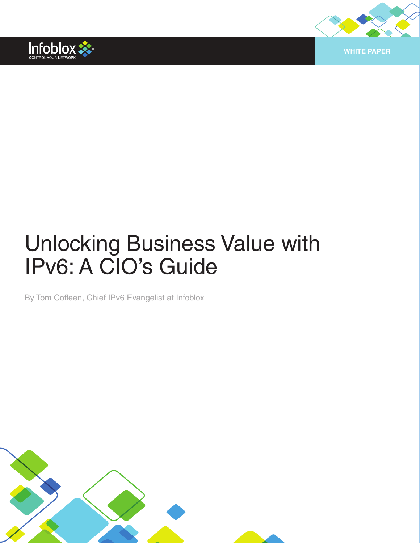



# Unlocking Business Value with IPv6: A CIO's Guide

By Tom Coffeen, Chief IPv6 Evangelist at Infoblox

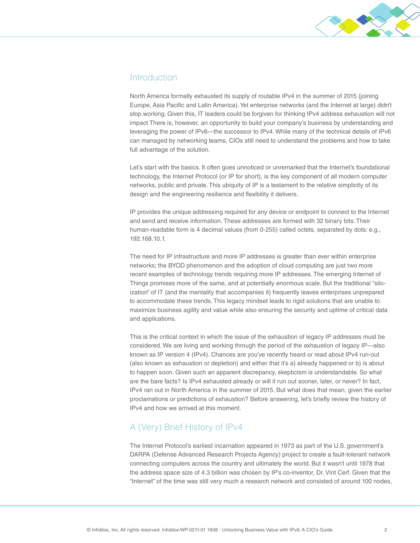

## Introduction

North America formally exhausted its supply of routable IPv4 in the summer of 2015 (joining Europe, Asia Pacific and Latin America). Yet enterprise networks (and the Internet at large) didn't stop working. Given this, IT leaders could be forgiven for thinking IPv4 address exhaustion will not impact There is, however, an opportunity to build your company's business by understanding and leveraging the power of IPv6—the successor to IPv4. While many of the technical details of IPv6 can managed by networking teams, CIOs still need to understand the problems and how to take full advantage of the solution.

Let's start with the basics. It often goes unnoticed or unremarked that the Internet's foundational technology, the Internet Protocol (or IP for short), is the key component of all modern computer networks, public and private. This ubiquity of IP is a testament to the relative simplicity of its design and the engineering resilience and flexibility it delivers.

IP provides the unique addressing required for any device or endpoint to connect to the Internet and send and receive information. These addresses are formed with 32 binary bits. Their human-readable form is 4 decimal values (from 0-255) called octets, separated by dots: e.g., 192.168.10.1.

The need for IP infrastructure and more IP addresses is greater than ever within enterprise networks; the BYOD phenomenon and the adoption of cloud computing are just two more recent examples of technology trends requiring more IP addresses. The emerging Internet of Things promises more of the same, and at potentially enormous scale. But the traditional "siloization" of IT (and the mentality that accompanies it) frequently leaves enterprises unprepared to accommodate these trends. This legacy mindset leads to rigid solutions that are unable to maximize business agility and value while also ensuring the security and uptime of critical data and applications.

This is the critical context in which the issue of the exhaustion of legacy IP addresses must be considered. We are living and working through the period of the exhaustion of legacy IP—also known as IP version 4 (IPv4). Chances are you've recently heard or read about IPv4 run-out (also known as exhaustion or depletion) and either that it's a) already happened or b) is about to happen soon. Given such an apparent discrepancy, skepticism is understandable. So what are the bare facts? Is IPv4 exhausted already or will it run out sooner, later, or never? In fact, IPv4 ran out in North America in the summer of 2015. But what does that mean, given the earlier proclamations or predictions of exhaustion? Before answering, let's briefly review the history of IPv4 and how we arrived at this moment.

# A (Very) Brief History of IPv4

The Internet Protocol's earliest incarnation appeared in 1973 as part of the U.S. government's DARPA (Defense Advanced Research Projects Agency) project to create a fault-tolerant network connecting computers across the country and ultimately the world. But it wasn't until 1978 that the address space size of 4.3 billion was chosen by IP's co-inventor, Dr. Vint Cerf. Given that the "Internet" of the time was still very much a research network and consisted of around 100 nodes,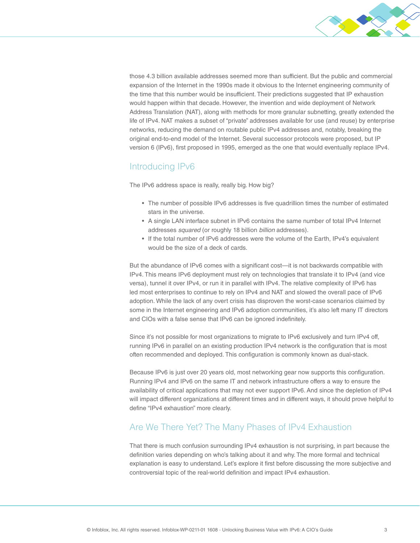

those 4.3 billion available addresses seemed more than sufficient. But the public and commercial expansion of the Internet in the 1990s made it obvious to the Internet engineering community of the time that this number would be insufficient. Their predictions suggested that IP exhaustion would happen within that decade. However, the invention and wide deployment of Network Address Translation (NAT), along with methods for more granular subnetting, greatly extended the life of IPv4. NAT makes a subset of "private" addresses available for use (and reuse) by enterprise networks, reducing the demand on routable public IPv4 addresses and, notably, breaking the original end-to-end model of the Internet. Several successor protocols were proposed, but IP version 6 (IPv6), first proposed in 1995, emerged as the one that would eventually replace IPv4.

## Introducing IPv6

The IPv6 address space is really, really big. How big?

- The number of possible IPv6 addresses is five quadrillion times the number of estimated stars in the universe.
- A single LAN interface subnet in IPv6 contains the same number of total IPv4 Internet addresses *squared* (or roughly 18 billion *billion* addresses).
- If the total number of IPv6 addresses were the volume of the Earth, IPv4's equivalent would be the size of a deck of cards.

But the abundance of IPv6 comes with a significant cost—it is not backwards compatible with IPv4. This means IPv6 deployment must rely on technologies that translate it to IPv4 (and vice versa), tunnel it over IPv4, or run it in parallel with IPv4. The relative complexity of IPv6 has led most enterprises to continue to rely on IPv4 and NAT and slowed the overall pace of IPv6 adoption. While the lack of any overt crisis has disproven the worst-case scenarios claimed by some in the Internet engineering and IPv6 adoption communities, it's also left many IT directors and CIOs with a false sense that IPv6 can be ignored indefinitely.

Since it's not possible for most organizations to migrate to IPv6 exclusively and turn IPv4 off, running IPv6 in parallel on an existing production IPv4 network is the configuration that is most often recommended and deployed. This configuration is commonly known as dual-stack.

Because IPv6 is just over 20 years old, most networking gear now supports this configuration. Running IPv4 and IPv6 on the same IT and network infrastructure offers a way to ensure the availability of critical applications that may not ever support IPv6. And since the depletion of IPv4 will impact different organizations at different times and in different ways, it should prove helpful to define "IPv4 exhaustion" more clearly.

## Are We There Yet? The Many Phases of IPv4 Exhaustion

That there is much confusion surrounding IPv4 exhaustion is not surprising, in part because the definition varies depending on who's talking about it and why. The more formal and technical explanation is easy to understand. Let's explore it first before discussing the more subjective and controversial topic of the real-world definition and impact IPv4 exhaustion.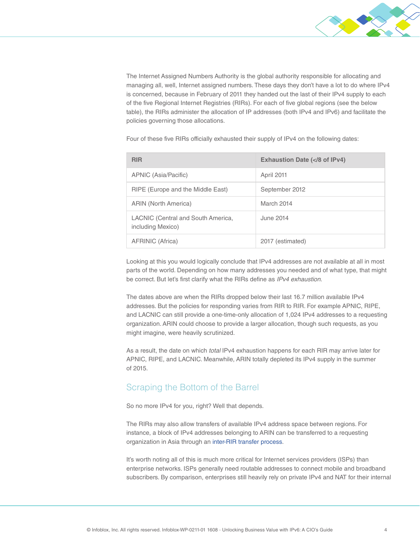

The Internet Assigned Numbers Authority is the global authority responsible for allocating and managing all, well, Internet assigned numbers. These days they don't have a lot to do where IPv4 is concerned, because in February of 2011 they handed out the last of their IPv4 supply to each of the five Regional Internet Registries (RIRs). For each of five global regions (see the below table), the RIRs administer the allocation of IP addresses (both IPv4 and IPv6) and facilitate the policies governing those allocations.

Four of these five RIRs officially exhausted their supply of IPv4 on the following dates:

| <b>RIR</b>                                                     | Exhaustion Date ( 8 of IPv4)</th |
|----------------------------------------------------------------|----------------------------------|
| APNIC (Asia/Pacific)                                           | April 2011                       |
| RIPE (Europe and the Middle East)                              | September 2012                   |
| ARIN (North America)                                           | March 2014                       |
| <b>LACNIC (Central and South America,</b><br>including Mexico) | June 2014                        |
| AFRINIC (Africa)                                               | 2017 (estimated)                 |

Looking at this you would logically conclude that IPv4 addresses are not available at all in most parts of the world. Depending on how many addresses you needed and of what type, that might be correct. But let's first clarify what the RIRs define as *IPv4 exhaustion*.

The dates above are when the RIRs dropped below their last 16.7 million available IPv4 addresses. But the policies for responding varies from RIR to RIR. For example APNIC, RIPE, and LACNIC can still provide a one-time-only allocation of 1,024 IPv4 addresses to a requesting organization. ARIN could choose to provide a larger allocation, though such requests, as you might imagine, were heavily scrutinized.

As a result, the date on which *total* IPv4 exhaustion happens for each RIR may arrive later for APNIC, RIPE, and LACNIC. Meanwhile, ARIN totally depleted its IPv4 supply in the summer of 2015.

## Scraping the Bottom of the Barrel

So no more IPv4 for you, right? Well that depends.

The RIRs may also allow transfers of available IPv4 address space between regions. For instance, a block of IPv4 addresses belonging to ARIN can be transferred to a requesting organization in Asia through an [inter-RIR transfer process](https://www.apnic.net/publications/news/2012/apnic-processes-first-inter-rir-ipv4-transfer-from-arin).

It's worth noting all of this is much more critical for Internet services providers (ISPs) than enterprise networks. ISPs generally need routable addresses to connect mobile and broadband subscribers. By comparison, enterprises still heavily rely on private IPv4 and NAT for their internal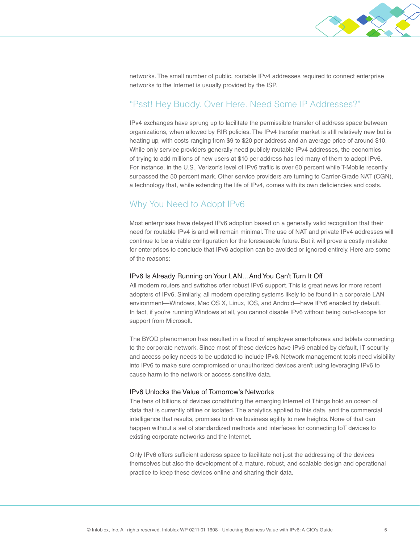

networks. The small number of public, routable IPv4 addresses required to connect enterprise networks to the Internet is usually provided by the ISP.

## "Psst! Hey Buddy. Over Here. Need Some IP Addresses?"

IPv4 exchanges have sprung up to facilitate the permissible transfer of address space between organizations, when allowed by RIR policies. The IPv4 transfer market is still relatively new but is heating up, with costs ranging from \$9 to \$20 per address and an average price of around \$10. While only service providers generally need publicly routable IPv4 addresses, the economics of trying to add millions of new users at \$10 per address has led many of them to adopt IPv6. For instance, in the U.S., Verizon's level of IPv6 traffic is over 60 percent while T-Mobile recently surpassed the 50 percent mark. Other service providers are turning to Carrier-Grade NAT (CGN), a technology that, while extending the life of IPv4, comes with its own deficiencies and costs.

## Why You Need to Adopt IPv6

Most enterprises have delayed IPv6 adoption based on a generally valid recognition that their need for routable IPv4 is and will remain minimal. The use of NAT and private IPv4 addresses will continue to be a viable configuration for the foreseeable future. But it will prove a costly mistake for enterprises to conclude that IPv6 adoption can be avoided or ignored entirely. Here are some of the reasons:

#### IPv6 Is Already Running on Your LAN…And You Can't Turn It Off

All modern routers and switches offer robust IPv6 support. This is great news for more recent adopters of IPv6. Similarly, all modern operating systems likely to be found in a corporate LAN environment—Windows, Mac OS X, Linux, IOS, and Android—have IPv6 enabled by default. In fact, if you're running Windows at all, you cannot disable IPv6 without being out-of-scope for support from Microsoft.

The BYOD phenomenon has resulted in a flood of employee smartphones and tablets connecting to the corporate network. Since most of these devices have IPv6 enabled by default, IT security and access policy needs to be updated to include IPv6. Network management tools need visibility into IPv6 to make sure compromised or unauthorized devices aren't using leveraging IPv6 to cause harm to the network or access sensitive data.

#### IPv6 Unlocks the Value of Tomorrow's Networks

The tens of billions of devices constituting the emerging Internet of Things hold an ocean of data that is currently offline or isolated. The analytics applied to this data, and the commercial intelligence that results, promises to drive business agility to new heights. None of that can happen without a set of standardized methods and interfaces for connecting IoT devices to existing corporate networks and the Internet.

Only IPv6 offers sufficient address space to facilitate not just the addressing of the devices themselves but also the development of a mature, robust, and scalable design and operational practice to keep these devices online and sharing their data.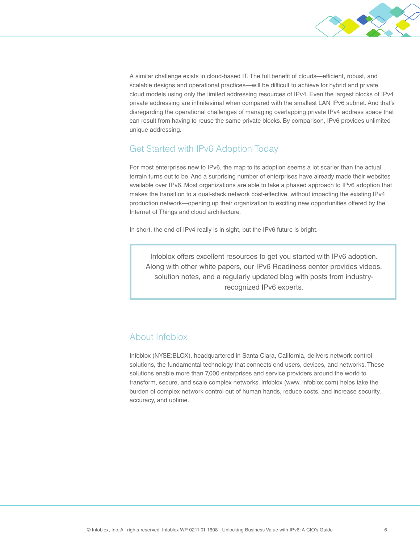

A similar challenge exists in cloud-based IT. The full benefit of clouds—efficient, robust, and scalable designs and operational practices—will be difficult to achieve for hybrid and private cloud models using only the limited addressing resources of IPv4. Even the largest blocks of IPv4 private addressing are infinitesimal when compared with the smallest LAN IPv6 subnet. And that's disregarding the operational challenges of managing overlapping private IPv4 address space that can result from having to reuse the same private blocks. By comparison, IPv6 provides unlimited unique addressing.

## Get Started with IPv6 Adoption Today

For most enterprises new to IPv6, the map to its adoption seems a lot scarier than the actual terrain turns out to be. And a surprising number of enterprises have already made their websites available over IPv6. Most organizations are able to take a phased approach to IPv6 adoption that makes the transition to a dual-stack network cost-effective, without impacting the existing IPv4 production network—opening up their organization to exciting new opportunities offered by the Internet of Things and cloud architecture.

In short, the end of IPv4 really is in sight, but the IPv6 future is bright.

Infoblox offers excellent resources to get you started with IPv6 adoption. Along with other white papers, our IPv6 Readiness center provides videos, solution notes, and a regularly updated blog with posts from industryrecognized IPv6 experts.

## About Infoblox

Infoblox (NYSE:BLOX), headquartered in Santa Clara, California, delivers network control solutions, the fundamental technology that connects end users, devices, and networks. These solutions enable more than 7,000 enterprises and service providers around the world to transform, secure, and scale complex networks. Infoblox (www. infoblox.com) helps take the burden of complex network control out of human hands, reduce costs, and increase security, accuracy, and uptime.